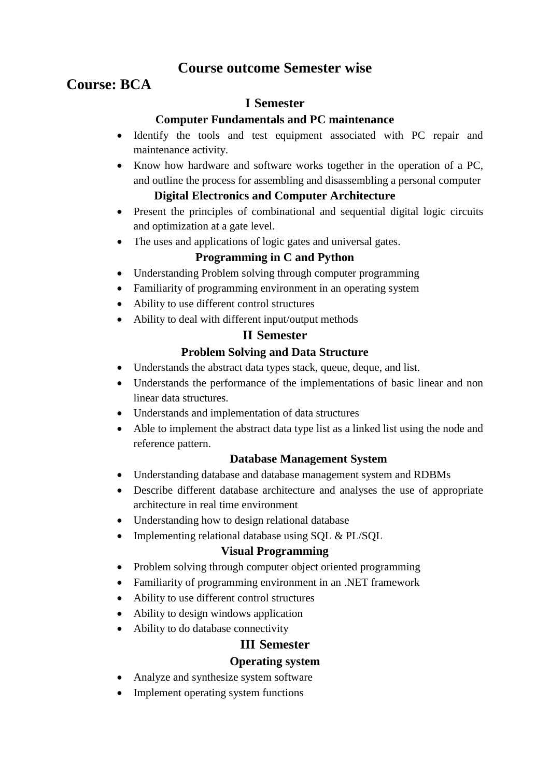# **Course outcome Semester wise**

# **Course: BCA**

# **I Semester**

#### **Computer Fundamentals and PC maintenance**

- Identify the tools and test equipment associated with PC repair and maintenance activity.
- Know how hardware and software works together in the operation of a PC, and outline the process for assembling and disassembling a personal computer

# **Digital Electronics and Computer Architecture**

- Present the principles of combinational and sequential digital logic circuits and optimization at a gate level.
- The uses and applications of logic gates and universal gates.

# **Programming in C and Python**

- Understanding Problem solving through computer programming
- Familiarity of programming environment in an operating system
- Ability to use different control structures
- Ability to deal with different input/output methods

# **II Semester**

# **Problem Solving and Data Structure**

- Understands the abstract data types stack, queue, deque, and list.
- Understands the performance of the implementations of basic linear and non linear data structures.
- Understands and implementation of data structures
- Able to implement the abstract data type list as a linked list using the node and reference pattern.

# **Database Management System**

- Understanding database and database management system and RDBMs
- Describe different database architecture and analyses the use of appropriate architecture in real time environment
- Understanding how to design relational database
- Implementing relational database using SQL & PL/SQL

# **Visual Programming**

- Problem solving through computer object oriented programming
- Familiarity of programming environment in an .NET framework
- Ability to use different control structures
- Ability to design windows application
- Ability to do database connectivity

# **III Semester**

# **Operating system**

- Analyze and synthesize system software
- Implement operating system functions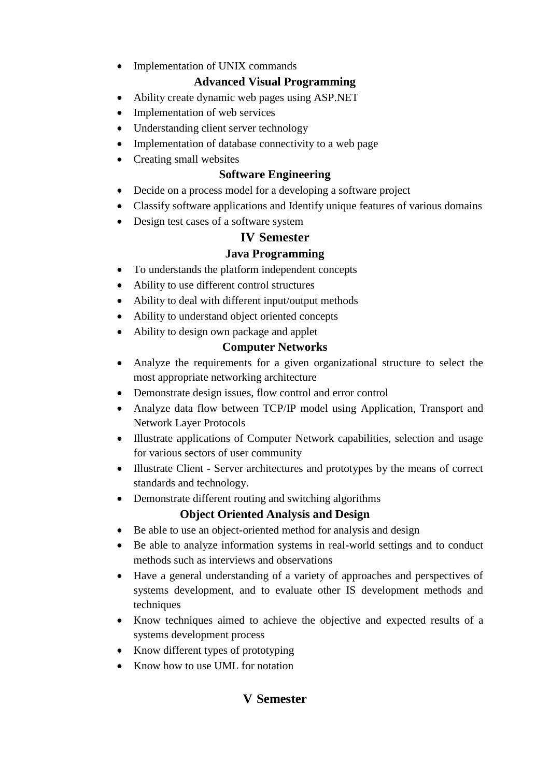• Implementation of UNIX commands

# **Advanced Visual Programming**

- Ability create dynamic web pages using ASP.NET
- Implementation of web services
- Understanding client server technology
- Implementation of database connectivity to a web page
- Creating small websites

## **Software Engineering**

- Decide on a process model for a developing a software project
- Classify software applications and Identify unique features of various domains
- Design test cases of a software system

# **IV Semester**

# **Java Programming**

- To understands the platform independent concepts
- Ability to use different control structures
- Ability to deal with different input/output methods
- Ability to understand object oriented concepts
- Ability to design own package and applet

# **Computer Networks**

- Analyze the requirements for a given organizational structure to select the most appropriate networking architecture
- Demonstrate design issues, flow control and error control
- Analyze data flow between TCP/IP model using Application, Transport and Network Layer Protocols
- Illustrate applications of Computer Network capabilities, selection and usage for various sectors of user community
- Illustrate Client Server architectures and prototypes by the means of correct standards and technology.
- Demonstrate different routing and switching algorithms

# **Object Oriented Analysis and Design**

- Be able to use an object-oriented method for analysis and design
- Be able to analyze information systems in real-world settings and to conduct methods such as interviews and observations
- Have a general understanding of a variety of approaches and perspectives of systems development, and to evaluate other IS development methods and techniques
- Know techniques aimed to achieve the objective and expected results of a systems development process
- Know different types of prototyping
- Know how to use UML for notation

# **V Semester**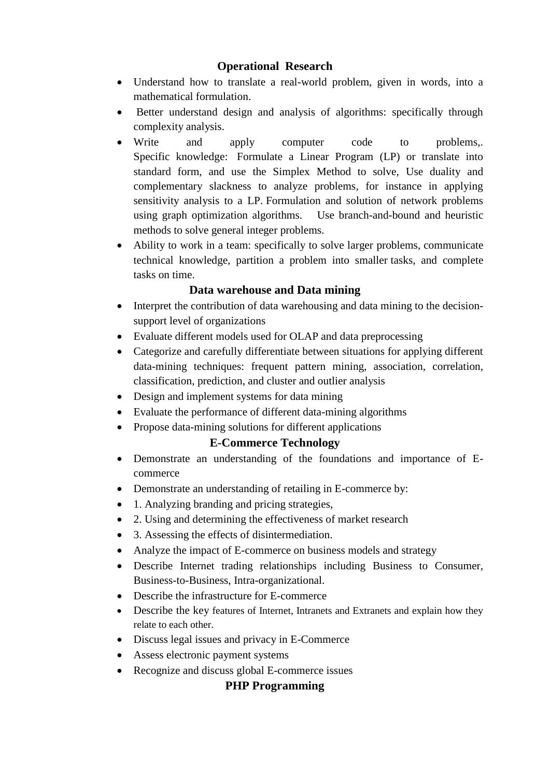#### **Operational Research**

- Understand how to translate a real-world problem, given in words, into a mathematical formulation.
- Better understand design and analysis of algorithms: specifically through complexity analysis.
- Write and apply computer code to problems,. Specific knowledge: Formulate a Linear Program (LP) or translate into standard form, and use the Simplex Method to solve, Use duality and complementary slackness to analyze problems, for instance in applying sensitivity analysis to a LP. Formulation and solution of network problems using graph optimization algorithms. Use branch-and-bound and heuristic methods to solve general integer problems.
- Ability to work in a team: specifically to solve larger problems, communicate technical knowledge, partition a problem into smaller tasks, and complete tasks on time.

#### **Data warehouse and Data mining**

- Interpret the contribution of data warehousing and data mining to the decisionsupport level of organizations
- Evaluate different models used for OLAP and data preprocessing
- Categorize and carefully differentiate between situations for applying different data-mining techniques: frequent pattern mining, association, correlation, classification, prediction, and cluster and outlier analysis
- Design and implement systems for data mining
- Evaluate the performance of different data-mining algorithms
- Propose data-mining solutions for different applications

# **E-Commerce Technology**

- Demonstrate an understanding of the foundations and importance of Ecommerce
- Demonstrate an understanding of retailing in E-commerce by:
- 1. Analyzing branding and pricing strategies,
- 2. Using and determining the effectiveness of market research
- 3. Assessing the effects of disintermediation.
- Analyze the impact of E-commerce on business models and strategy
- Describe Internet trading relationships including Business to Consumer, Business-to-Business, Intra-organizational.
- Describe the infrastructure for E-commerce
- Describe the key features of Internet, Intranets and Extranets and explain how they relate to each other.
- Discuss legal issues and privacy in E-Commerce
- Assess electronic payment systems
- Recognize and discuss global E-commerce issues

# **PHP Programming**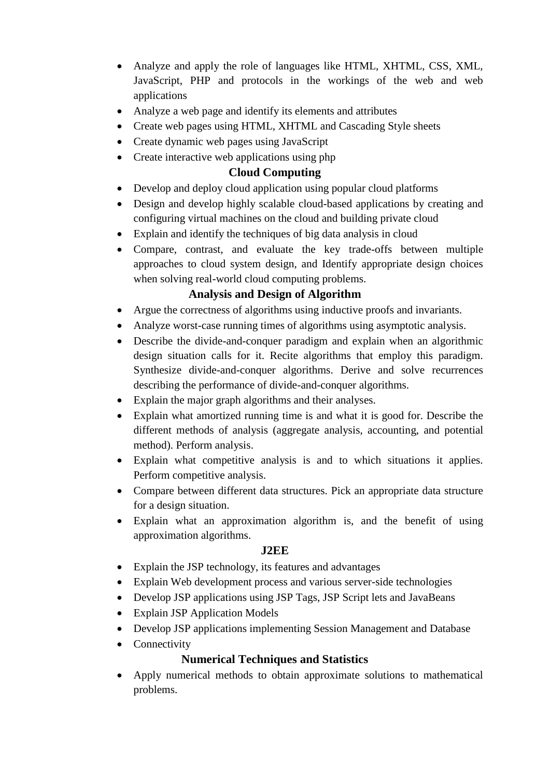- Analyze and apply the role of languages like HTML, XHTML, CSS, XML, JavaScript, PHP and protocols in the workings of the web and web applications
- Analyze a web page and identify its elements and attributes
- Create web pages using HTML, XHTML and Cascading Style sheets
- Create dynamic web pages using JavaScript
- Create interactive web applications using php

#### **Cloud Computing**

- Develop and deploy cloud application using popular cloud platforms
- Design and develop highly scalable cloud-based applications by creating and configuring virtual machines on the cloud and building private cloud
- Explain and identify the techniques of big data analysis in cloud
- Compare, contrast, and evaluate the key trade-offs between multiple approaches to cloud system design, and Identify appropriate design choices when solving real-world cloud computing problems.

#### **Analysis and Design of Algorithm**

- Argue the correctness of algorithms using inductive proofs and invariants.
- Analyze worst-case running times of algorithms using asymptotic analysis.
- Describe the divide-and-conquer paradigm and explain when an algorithmic design situation calls for it. Recite algorithms that employ this paradigm. Synthesize divide-and-conquer algorithms. Derive and solve recurrences describing the performance of divide-and-conquer algorithms.
- Explain the major graph algorithms and their analyses.
- Explain what amortized running time is and what it is good for. Describe the different methods of analysis (aggregate analysis, accounting, and potential method). Perform analysis.
- Explain what competitive analysis is and to which situations it applies. Perform competitive analysis.
- Compare between different data structures. Pick an appropriate data structure for a design situation.
- Explain what an approximation algorithm is, and the benefit of using approximation algorithms.

#### **J2EE**

- Explain the JSP technology, its features and advantages
- Explain Web development process and various server-side technologies
- Develop JSP applications using JSP Tags, JSP Script lets and JavaBeans
- Explain JSP Application Models
- Develop JSP applications implementing Session Management and Database
- Connectivity

#### **Numerical Techniques and Statistics**

 Apply numerical methods to obtain approximate solutions to mathematical problems.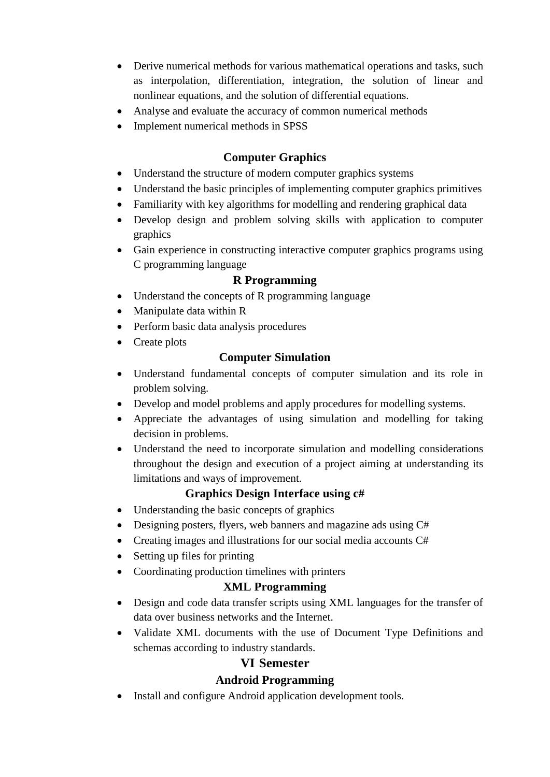- Derive numerical methods for various mathematical operations and tasks, such as interpolation, differentiation, integration, the solution of linear and nonlinear equations, and the solution of differential equations.
- Analyse and evaluate the accuracy of common numerical methods
- Implement numerical methods in SPSS

## **Computer Graphics**

- Understand the structure of modern computer graphics systems
- Understand the basic principles of implementing computer graphics primitives
- Familiarity with key algorithms for modelling and rendering graphical data
- Develop design and problem solving skills with application to computer graphics
- Gain experience in constructing interactive computer graphics programs using C programming language

#### **R Programming**

- Understand the concepts of R programming language
- Manipulate data within R
- Perform basic data analysis procedures
- Create plots

#### **Computer Simulation**

- Understand fundamental concepts of computer simulation and its role in problem solving.
- Develop and model problems and apply procedures for modelling systems.
- Appreciate the advantages of using simulation and modelling for taking decision in problems.
- Understand the need to incorporate simulation and modelling considerations throughout the design and execution of a project aiming at understanding its limitations and ways of improvement.

# **Graphics Design Interface using c#**

- Understanding the basic concepts of graphics
- Designing posters, flyers, web banners and magazine ads using C#
- Creating images and illustrations for our social media accounts C#
- Setting up files for printing
- Coordinating production timelines with printers

# **XML Programming**

- Design and code data transfer scripts using XML languages for the transfer of data over business networks and the Internet.
- Validate XML documents with the use of Document Type Definitions and schemas according to industry standards.

# **VI Semester**

# **Android Programming**

• Install and configure Android application development tools.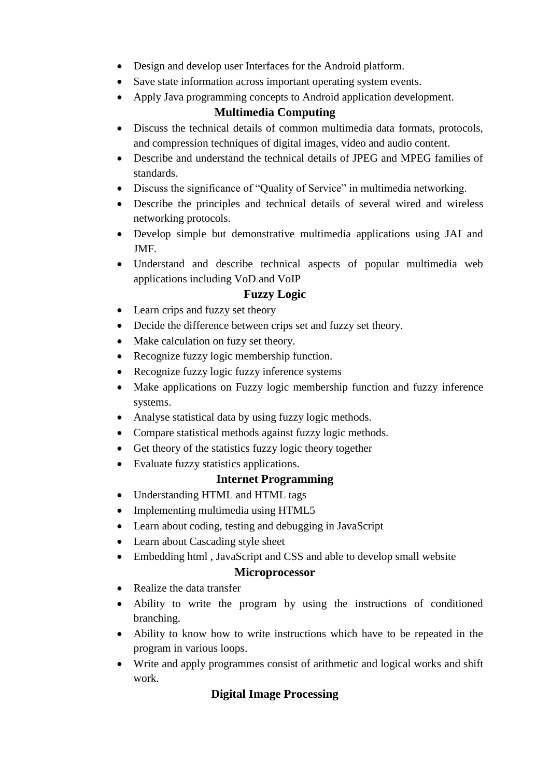- Design and develop user Interfaces for the Android platform.
- Save state information across important operating system events.
- Apply Java programming concepts to Android application development.

#### **Multimedia Computing**

- Discuss the technical details of common multimedia data formats, protocols, and compression techniques of digital images, video and audio content.
- Describe and understand the technical details of JPEG and MPEG families of standards.
- Discuss the significance of "Quality of Service" in multimedia networking.
- Describe the principles and technical details of several wired and wireless networking protocols.
- Develop simple but demonstrative multimedia applications using JAI and JMF.
- Understand and describe technical aspects of popular multimedia web applications including VoD and VoIP

#### **Fuzzy Logic**

- Learn crips and fuzzy set theory
- Decide the difference between crips set and fuzzy set theory.
- Make calculation on fuzy set theory.
- Recognize fuzzy logic membership function.
- Recognize fuzzy logic fuzzy inference systems
- Make applications on Fuzzy logic membership function and fuzzy inference systems.
- Analyse statistical data by using fuzzy logic methods.
- Compare statistical methods against fuzzy logic methods.
- Get theory of the statistics fuzzy logic theory together
- Evaluate fuzzy statistics applications.

#### **Internet Programming**

- Understanding HTML and HTML tags
- Implementing multimedia using HTML5
- Learn about coding, testing and debugging in JavaScript
- Learn about Cascading style sheet
- Embedding html , JavaScript and CSS and able to develop small website

#### **Microprocessor**

- Realize the data transfer
- Ability to write the program by using the instructions of conditioned branching.
- Ability to know how to write instructions which have to be repeated in the program in various loops.
- Write and apply programmes consist of arithmetic and logical works and shift work.

# **Digital Image Processing**